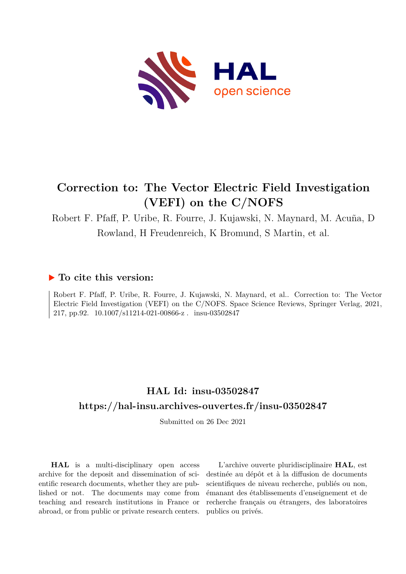

## **Correction to: The Vector Electric Field Investigation (VEFI) on the C/NOFS**

Robert F. Pfaff, P. Uribe, R. Fourre, J. Kujawski, N. Maynard, M. Acuña, D Rowland, H Freudenreich, K Bromund, S Martin, et al.

## **To cite this version:**

Robert F. Pfaff, P. Uribe, R. Fourre, J. Kujawski, N. Maynard, et al.. Correction to: The Vector Electric Field Investigation (VEFI) on the C/NOFS. Space Science Reviews, Springer Verlag, 2021, 217, pp.92. 10.1007/s11214-021-00866-z. insu-03502847

## **HAL Id: insu-03502847 <https://hal-insu.archives-ouvertes.fr/insu-03502847>**

Submitted on 26 Dec 2021

**HAL** is a multi-disciplinary open access archive for the deposit and dissemination of scientific research documents, whether they are published or not. The documents may come from teaching and research institutions in France or abroad, or from public or private research centers.

L'archive ouverte pluridisciplinaire **HAL**, est destinée au dépôt et à la diffusion de documents scientifiques de niveau recherche, publiés ou non, émanant des établissements d'enseignement et de recherche français ou étrangers, des laboratoires publics ou privés.